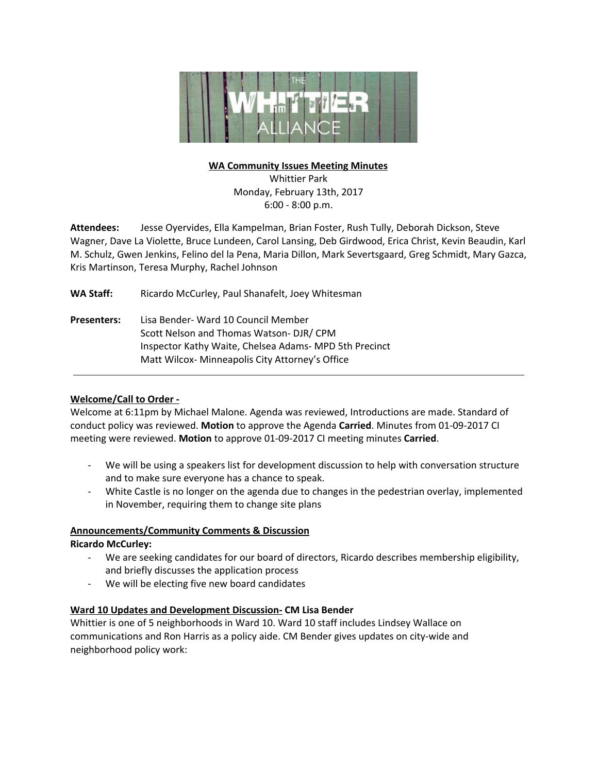

### **WA Community Issues Meeting Minutes**

Whittier Park Monday, February 13th, 2017 6:00 - 8:00 p.m.

**Attendees:** Jesse Oyervides, Ella Kampelman, Brian Foster, Rush Tully, Deborah Dickson, Steve Wagner, Dave La Violette, Bruce Lundeen, Carol Lansing, Deb Girdwood, Erica Christ, Kevin Beaudin, Karl M. Schulz, Gwen Jenkins, Felino del la Pena, Maria Dillon, Mark Severtsgaard, Greg Schmidt, Mary Gazca, Kris Martinson, Teresa Murphy, Rachel Johnson

WA Staff: Ricardo McCurley, Paul Shanafelt, Joey Whitesman

**Presenters:** Lisa Bender- Ward 10 Council Member Scott Nelson and Thomas Watson- DJR/ CPM Inspector Kathy Waite, Chelsea Adams- MPD 5th Precinct Matt Wilcox- Minneapolis City Attorney's Office

# **Welcome/Call to Order -**

Welcome at 6:11pm by Michael Malone. Agenda was reviewed, Introductions are made. Standard of conduct policy was reviewed. **Motion** to approve the Agenda **Carried**. Minutes from 01-09-2017 CI meeting were reviewed. **Motion** to approve 01-09-2017 CI meeting minutes **Carried**.

- We will be using a speakers list for development discussion to help with conversation structure and to make sure everyone has a chance to speak.
- White Castle is no longer on the agenda due to changes in the pedestrian overlay, implemented in November, requiring them to change site plans

# **Announcements/Community Comments & Discussion**

# **Ricardo McCurley:**

- We are seeking candidates for our board of directors, Ricardo describes membership eligibility, and briefly discusses the application process
- We will be electing five new board candidates

# **Ward 10 Updates and Development Discussion- CM Lisa Bender**

Whittier is one of 5 neighborhoods in Ward 10. Ward 10 staff includes Lindsey Wallace on communications and Ron Harris as a policy aide. CM Bender gives updates on city-wide and neighborhood policy work: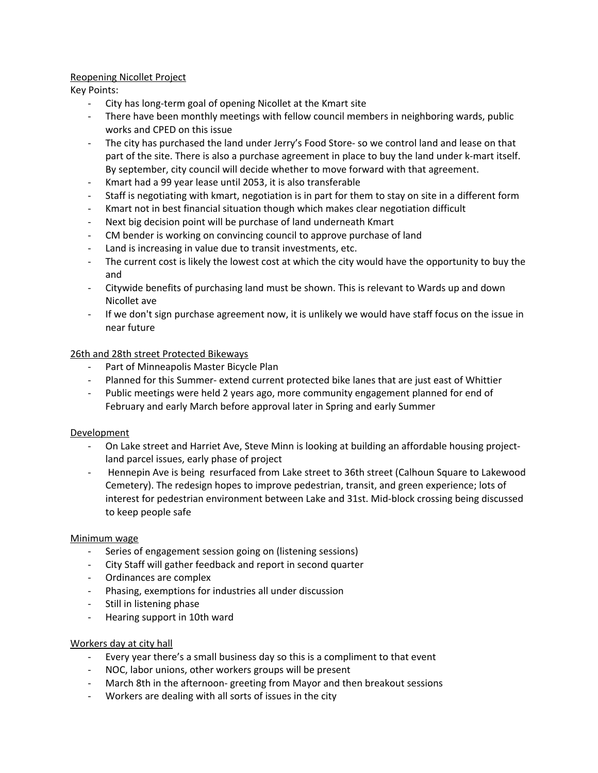# Reopening Nicollet Project

Key Points:

- City has long-term goal of opening Nicollet at the Kmart site
- There have been monthly meetings with fellow council members in neighboring wards, public works and CPED on this issue
- The city has purchased the land under Jerry's Food Store- so we control land and lease on that part of the site. There is also a purchase agreement in place to buy the land under k-mart itself. By september, city council will decide whether to move forward with that agreement.
- Kmart had a 99 year lease until 2053, it is also transferable
- Staff is negotiating with kmart, negotiation is in part for them to stay on site in a different form
- Kmart not in best financial situation though which makes clear negotiation difficult
- Next big decision point will be purchase of land underneath Kmart
- CM bender is working on convincing council to approve purchase of land
- Land is increasing in value due to transit investments, etc.
- The current cost is likely the lowest cost at which the city would have the opportunity to buy the and
- Citywide benefits of purchasing land must be shown. This is relevant to Wards up and down Nicollet ave
- If we don't sign purchase agreement now, it is unlikely we would have staff focus on the issue in near future

# 26th and 28th street Protected Bikeways

- Part of Minneapolis Master Bicycle Plan
- Planned for this Summer- extend current protected bike lanes that are just east of Whittier
- Public meetings were held 2 years ago, more community engagement planned for end of February and early March before approval later in Spring and early Summer

# Development

- On Lake street and Harriet Ave, Steve Minn is looking at building an affordable housing projectland parcel issues, early phase of project
- Hennepin Ave is being resurfaced from Lake street to 36th street (Calhoun Square to Lakewood Cemetery). The redesign hopes to improve pedestrian, transit, and green experience; lots of interest for pedestrian environment between Lake and 31st. Mid-block crossing being discussed to keep people safe

# Minimum wage

- Series of engagement session going on (listening sessions)
- City Staff will gather feedback and report in second quarter
- Ordinances are complex
- Phasing, exemptions for industries all under discussion
- Still in listening phase
- Hearing support in 10th ward

# Workers day at city hall

- Every year there's a small business day so this is a compliment to that event
- NOC, labor unions, other workers groups will be present
- March 8th in the afternoon- greeting from Mayor and then breakout sessions
- Workers are dealing with all sorts of issues in the city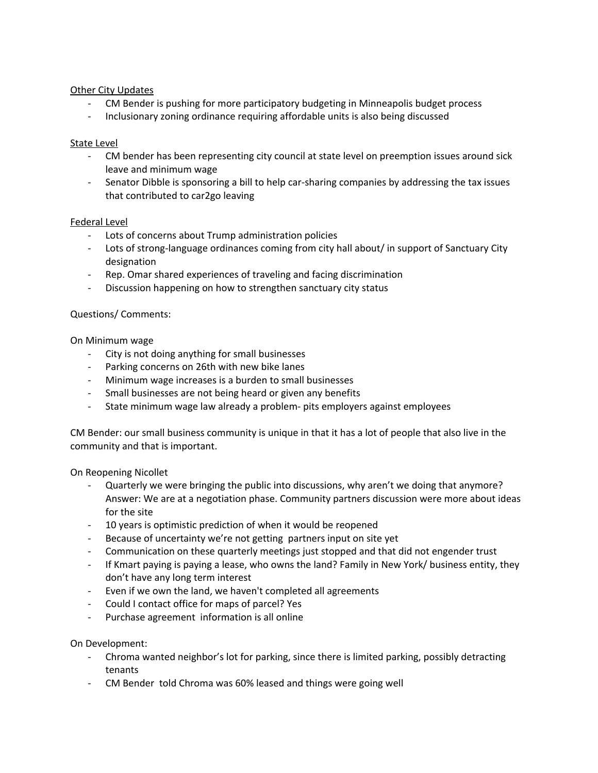# Other City Updates

- CM Bender is pushing for more participatory budgeting in Minneapolis budget process
- Inclusionary zoning ordinance requiring affordable units is also being discussed

### State Level

- CM bender has been representing city council at state level on preemption issues around sick leave and minimum wage
- Senator Dibble is sponsoring a bill to help car-sharing companies by addressing the tax issues that contributed to car2go leaving

#### Federal Level

- Lots of concerns about Trump administration policies
- Lots of strong-language ordinances coming from city hall about/ in support of Sanctuary City designation
- Rep. Omar shared experiences of traveling and facing discrimination
- Discussion happening on how to strengthen sanctuary city status

#### Questions/ Comments:

On Minimum wage

- City is not doing anything for small businesses
- Parking concerns on 26th with new bike lanes
- Minimum wage increases is a burden to small businesses
- Small businesses are not being heard or given any benefits
- State minimum wage law already a problem- pits employers against employees

CM Bender: our small business community is unique in that it has a lot of people that also live in the community and that is important.

On Reopening Nicollet

- Quarterly we were bringing the public into discussions, why aren't we doing that anymore? Answer: We are at a negotiation phase. Community partners discussion were more about ideas for the site
- 10 years is optimistic prediction of when it would be reopened
- Because of uncertainty we're not getting partners input on site yet
- Communication on these quarterly meetings just stopped and that did not engender trust
- If Kmart paying is paying a lease, who owns the land? Family in New York/ business entity, they don't have any long term interest
- Even if we own the land, we haven't completed all agreements
- Could I contact office for maps of parcel? Yes
- Purchase agreement information is all online

On Development:

- Chroma wanted neighbor's lot for parking, since there is limited parking, possibly detracting tenants
- CM Bender told Chroma was 60% leased and things were going well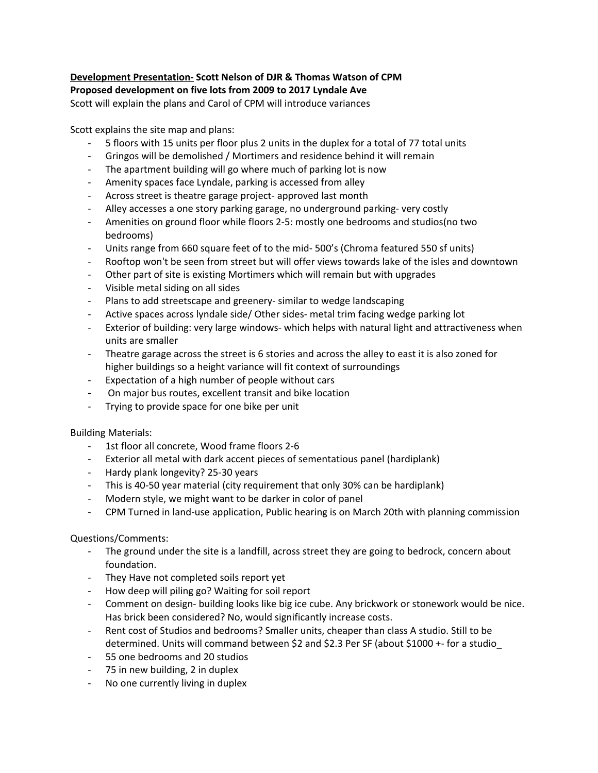# **Development Presentation- Scott Nelson of DJR & Thomas Watson of CPM Proposed development on five lots from 2009 to 2017 Lyndale Ave**

Scott will explain the plans and Carol of CPM will introduce variances

Scott explains the site map and plans:

- 5 floors with 15 units per floor plus 2 units in the duplex for a total of 77 total units
- Gringos will be demolished / Mortimers and residence behind it will remain
- The apartment building will go where much of parking lot is now
- Amenity spaces face Lyndale, parking is accessed from alley
- Across street is theatre garage project- approved last month
- Alley accesses a one story parking garage, no underground parking- very costly
- Amenities on ground floor while floors 2-5: mostly one bedrooms and studios(no two bedrooms)
- Units range from 660 square feet of to the mid- 500's (Chroma featured 550 sf units)
- Rooftop won't be seen from street but will offer views towards lake of the isles and downtown
- Other part of site is existing Mortimers which will remain but with upgrades
- Visible metal siding on all sides
- Plans to add streetscape and greenery- similar to wedge landscaping
- Active spaces across lyndale side/ Other sides- metal trim facing wedge parking lot
- Exterior of building: very large windows- which helps with natural light and attractiveness when units are smaller
- Theatre garage across the street is 6 stories and across the alley to east it is also zoned for higher buildings so a height variance will fit context of surroundings
- Expectation of a high number of people without cars
- **-** On major bus routes, excellent transit and bike location
- Trying to provide space for one bike per unit

# Building Materials:

- 1st floor all concrete, Wood frame floors 2-6
- Exterior all metal with dark accent pieces of sementatious panel (hardiplank)
- Hardy plank longevity? 25-30 years
- This is 40-50 year material (city requirement that only 30% can be hardiplank)
- Modern style, we might want to be darker in color of panel
- CPM Turned in land-use application, Public hearing is on March 20th with planning commission

# Questions/Comments:

- The ground under the site is a landfill, across street they are going to bedrock, concern about foundation.
- They Have not completed soils report yet
- How deep will piling go? Waiting for soil report
- Comment on design- building looks like big ice cube. Any brickwork or stonework would be nice. Has brick been considered? No, would significantly increase costs.
- Rent cost of Studios and bedrooms? Smaller units, cheaper than class A studio. Still to be determined. Units will command between \$2 and \$2.3 Per SF (about \$1000 +- for a studio\_
- 55 one bedrooms and 20 studios
- 75 in new building, 2 in duplex
- No one currently living in duplex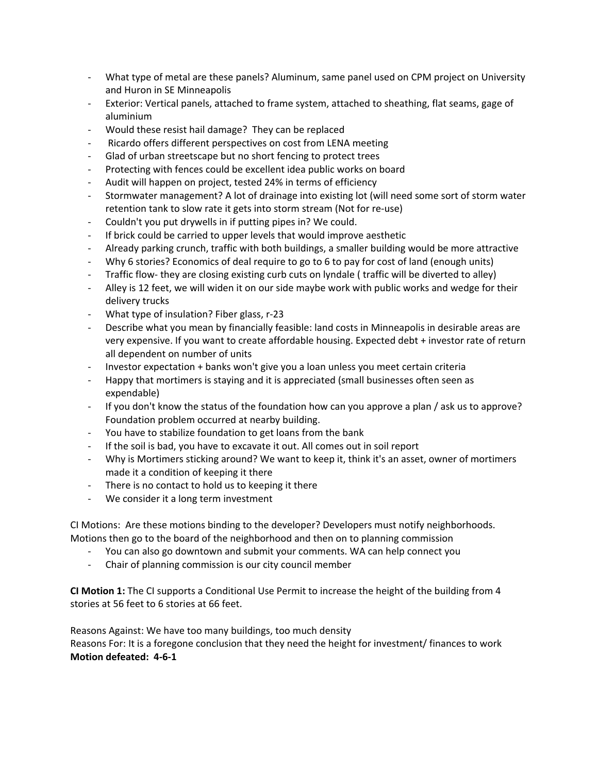- What type of metal are these panels? Aluminum, same panel used on CPM project on University and Huron in SE Minneapolis
- Exterior: Vertical panels, attached to frame system, attached to sheathing, flat seams, gage of aluminium
- Would these resist hail damage? They can be replaced
- Ricardo offers different perspectives on cost from LENA meeting
- Glad of urban streetscape but no short fencing to protect trees
- Protecting with fences could be excellent idea public works on board
- Audit will happen on project, tested 24% in terms of efficiency
- Stormwater management? A lot of drainage into existing lot (will need some sort of storm water retention tank to slow rate it gets into storm stream (Not for re-use)
- Couldn't you put drywells in if putting pipes in? We could.
- If brick could be carried to upper levels that would improve aesthetic
- Already parking crunch, traffic with both buildings, a smaller building would be more attractive
- Why 6 stories? Economics of deal require to go to 6 to pay for cost of land (enough units)
- Traffic flow- they are closing existing curb cuts on lyndale ( traffic will be diverted to alley)
- Alley is 12 feet, we will widen it on our side maybe work with public works and wedge for their delivery trucks
- What type of insulation? Fiber glass, r-23
- Describe what you mean by financially feasible: land costs in Minneapolis in desirable areas are very expensive. If you want to create affordable housing. Expected debt + investor rate of return all dependent on number of units
- Investor expectation + banks won't give you a loan unless you meet certain criteria
- Happy that mortimers is staying and it is appreciated (small businesses often seen as expendable)
- If you don't know the status of the foundation how can you approve a plan / ask us to approve? Foundation problem occurred at nearby building.
- You have to stabilize foundation to get loans from the bank
- If the soil is bad, you have to excavate it out. All comes out in soil report
- Why is Mortimers sticking around? We want to keep it, think it's an asset, owner of mortimers made it a condition of keeping it there
- There is no contact to hold us to keeping it there
- We consider it a long term investment

CI Motions: Are these motions binding to the developer? Developers must notify neighborhoods. Motions then go to the board of the neighborhood and then on to planning commission

- You can also go downtown and submit your comments. WA can help connect you
- Chair of planning commission is our city council member

**CI Motion 1:** The CI supports a Conditional Use Permit to increase the height of the building from 4 stories at 56 feet to 6 stories at 66 feet.

Reasons Against: We have too many buildings, too much density Reasons For: It is a foregone conclusion that they need the height for investment/ finances to work **Motion defeated: 4-6-1**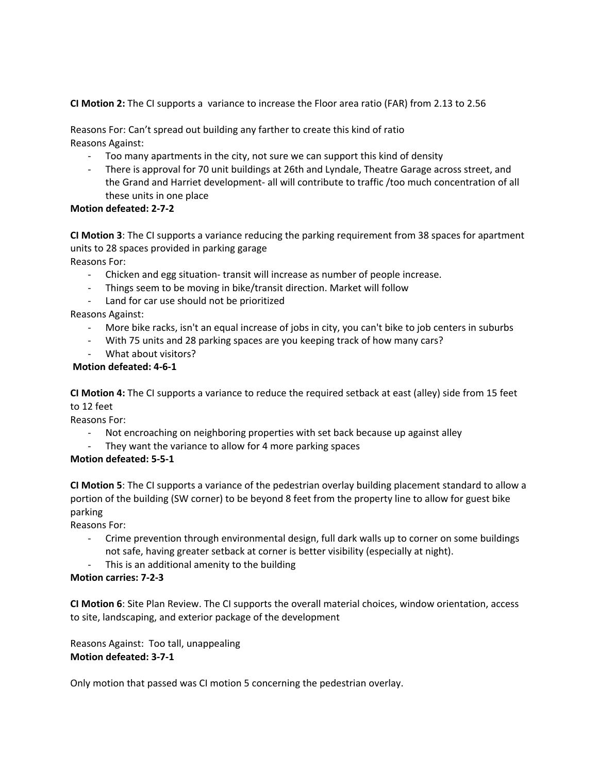**CI Motion 2:** The CI supports a variance to increase the Floor area ratio (FAR) from 2.13 to 2.56

Reasons For: Can't spread out building any farther to create this kind of ratio Reasons Against:

- Too many apartments in the city, not sure we can support this kind of density
- There is approval for 70 unit buildings at 26th and Lyndale, Theatre Garage across street, and the Grand and Harriet development- all will contribute to traffic /too much concentration of all these units in one place

# **Motion defeated: 2-7-2**

**CI Motion 3**: The CI supports a variance reducing the parking requirement from 38 spaces for apartment units to 28 spaces provided in parking garage

Reasons For:

- Chicken and egg situation- transit will increase as number of people increase.
- Things seem to be moving in bike/transit direction. Market will follow
- Land for car use should not be prioritized

Reasons Against:

- More bike racks, isn't an equal increase of jobs in city, you can't bike to job centers in suburbs
- With 75 units and 28 parking spaces are you keeping track of how many cars?
- What about visitors?

# **Motion defeated: 4-6-1**

**CI Motion 4:** The CI supports a variance to reduce the required setback at east (alley) side from 15 feet to 12 feet

Reasons For:

- Not encroaching on neighboring properties with set back because up against alley
- They want the variance to allow for 4 more parking spaces

# **Motion defeated: 5-5-1**

**CI Motion 5**: The CI supports a variance of the pedestrian overlay building placement standard to allow a portion of the building (SW corner) to be beyond 8 feet from the property line to allow for guest bike parking

Reasons For:

- Crime prevention through environmental design, full dark walls up to corner on some buildings not safe, having greater setback at corner is better visibility (especially at night).
- This is an additional amenity to the building

# **Motion carries: 7-2-3**

**CI Motion 6**: Site Plan Review. The CI supports the overall material choices, window orientation, access to site, landscaping, and exterior package of the development

Reasons Against: Too tall, unappealing **Motion defeated: 3-7-1**

Only motion that passed was CI motion 5 concerning the pedestrian overlay.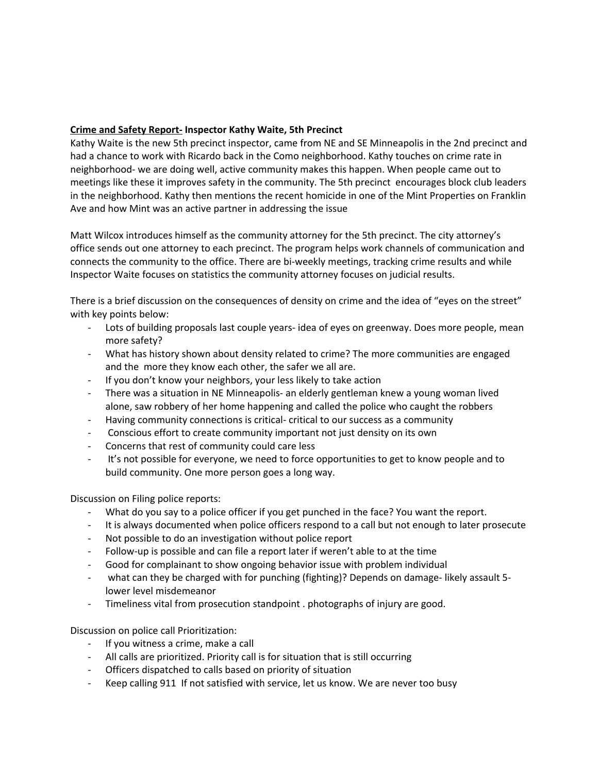# **Crime and Safety Report- Inspector Kathy Waite, 5th Precinct**

Kathy Waite is the new 5th precinct inspector, came from NE and SE Minneapolis in the 2nd precinct and had a chance to work with Ricardo back in the Como neighborhood. Kathy touches on crime rate in neighborhood- we are doing well, active community makes this happen. When people came out to meetings like these it improves safety in the community. The 5th precinct encourages block club leaders in the neighborhood. Kathy then mentions the recent homicide in one of the Mint Properties on Franklin Ave and how Mint was an active partner in addressing the issue

Matt Wilcox introduces himself as the community attorney for the 5th precinct. The city attorney's office sends out one attorney to each precinct. The program helps work channels of communication and connects the community to the office. There are bi-weekly meetings, tracking crime results and while Inspector Waite focuses on statistics the community attorney focuses on judicial results.

There is a brief discussion on the consequences of density on crime and the idea of "eyes on the street" with key points below:

- Lots of building proposals last couple years- idea of eyes on greenway. Does more people, mean more safety?
- What has history shown about density related to crime? The more communities are engaged and the more they know each other, the safer we all are.
- If you don't know your neighbors, your less likely to take action
- There was a situation in NE Minneapolis- an elderly gentleman knew a young woman lived alone, saw robbery of her home happening and called the police who caught the robbers
- Having community connections is critical- critical to our success as a community
- Conscious effort to create community important not just density on its own
- Concerns that rest of community could care less
- It's not possible for everyone, we need to force opportunities to get to know people and to build community. One more person goes a long way.

Discussion on Filing police reports:

- What do you say to a police officer if you get punched in the face? You want the report.
- It is always documented when police officers respond to a call but not enough to later prosecute
- Not possible to do an investigation without police report
- Follow-up is possible and can file a report later if weren't able to at the time
- Good for complainant to show ongoing behavior issue with problem individual
- what can they be charged with for punching (fighting)? Depends on damage- likely assault 5lower level misdemeanor
- Timeliness vital from prosecution standpoint . photographs of injury are good.

Discussion on police call Prioritization:

- If you witness a crime, make a call
- All calls are prioritized. Priority call is for situation that is still occurring
- Officers dispatched to calls based on priority of situation
- Keep calling 911 If not satisfied with service, let us know. We are never too busy